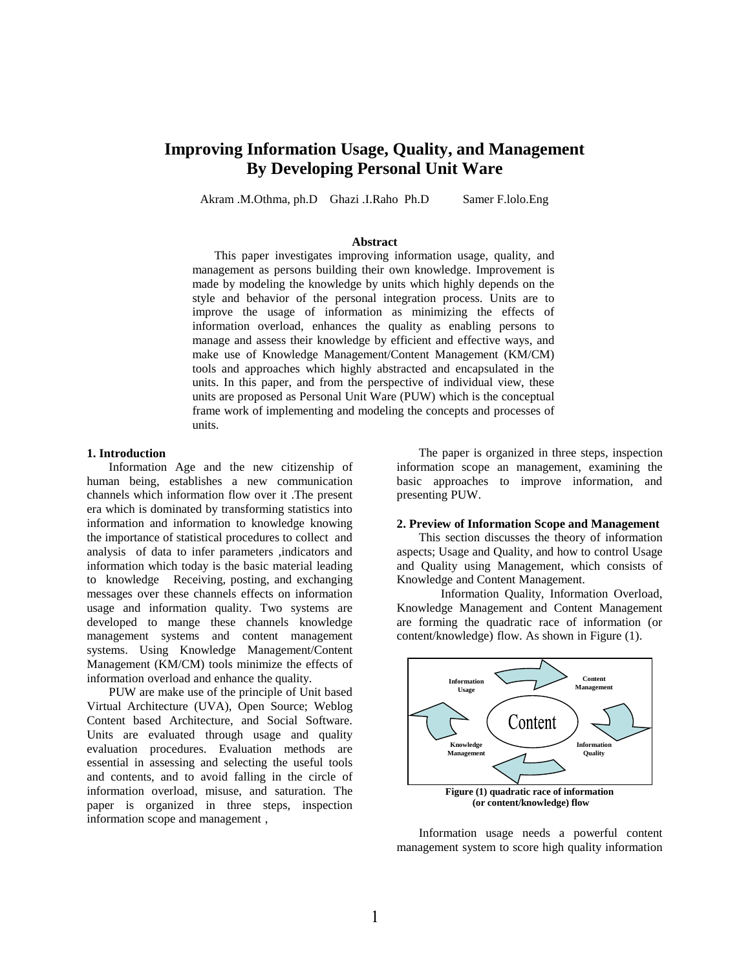# **Improving Information Usage, Quality, and Management By Developing Personal Unit Ware**

Akram .M.Othma, ph.D Ghazi .I.Raho Ph.D Samer F.lolo.Eng

#### **Abstract**

This paper investigates improving information usage, quality, and management as persons building their own knowledge. Improvement is made by modeling the knowledge by units which highly depends on the style and behavior of the personal integration process. Units are to improve the usage of information as minimizing the effects of information overload, enhances the quality as enabling persons to manage and assess their knowledge by efficient and effective ways, and make use of Knowledge Management/Content Management (KM/CM) tools and approaches which highly abstracted and encapsulated in the units. In this paper, and from the perspective of individual view, these units are proposed as Personal Unit Ware (PUW) which is the conceptual frame work of implementing and modeling the concepts and processes of units.

#### **1. Introduction**

Information Age and the new citizenship of human being, establishes a new communication channels which information flow over it .The present era which is dominated by transforming statistics into information and information to knowledge knowing the importance of statistical procedures to collect and analysis of data to infer parameters ,indicators and information which today is the basic material leading to knowledge Receiving, posting, and exchanging messages over these channels effects on information usage and information quality. Two systems are developed to mange these channels knowledge management systems and content management systems. Using Knowledge Management/Content Management (KM/CM) tools minimize the effects of information overload and enhance the quality.

PUW are make use of the principle of Unit based Virtual Architecture (UVA), Open Source; Weblog Content based Architecture, and Social Software. Units are evaluated through usage and quality evaluation procedures. Evaluation methods are essential in assessing and selecting the useful tools and contents, and to avoid falling in the circle of information overload, misuse, and saturation. The paper is organized in three steps, inspection information scope and management ,

The paper is organized in three steps, inspection information scope an management, examining the basic approaches to improve information, and presenting PUW.

#### **2. Preview of Information Scope and Management**

This section discusses the theory of information aspects; Usage and Quality, and how to control Usage and Quality using Management, which consists of Knowledge and Content Management.

Information Quality, Information Overload, Knowledge Management and Content Management are forming the quadratic race of information (or content/knowledge) flow. As shown in Figure (1).



Information usage needs a powerful content management system to score high quality information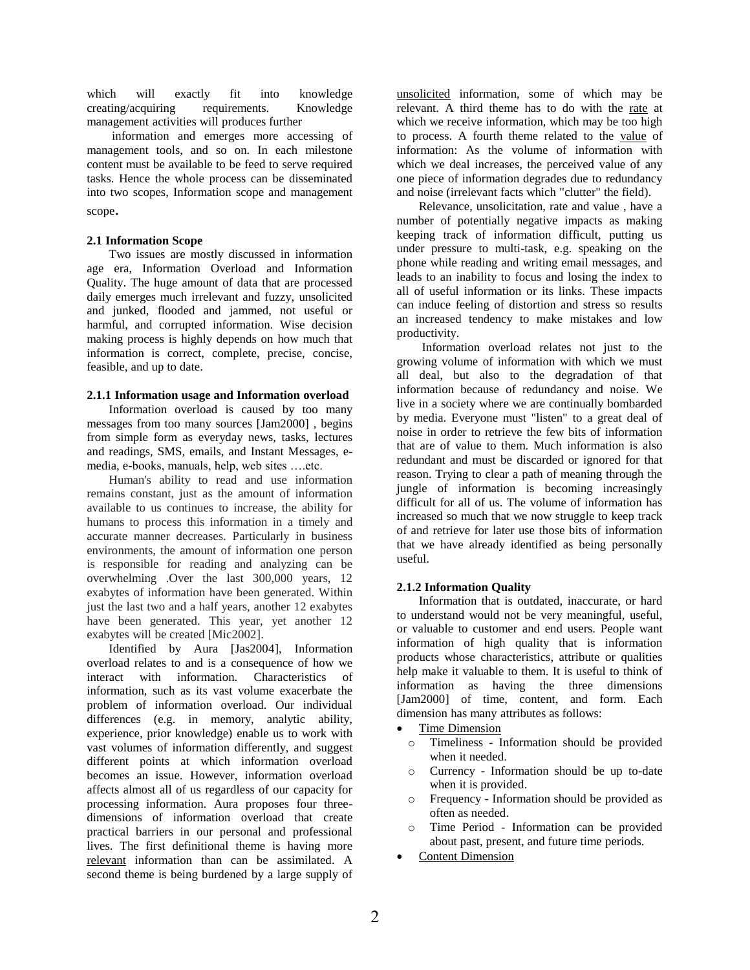which will exactly fit into knowledge creating/acquiring requirements. Knowledge management activities will produces further

information and emerges more accessing of management tools, and so on. In each milestone content must be available to be feed to serve required tasks. Hence the whole process can be disseminated into two scopes, Information scope and management scope.

## **2.1 Information Scope**

Two issues are mostly discussed in information age era, Information Overload and Information Quality. The huge amount of data that are processed daily emerges much irrelevant and fuzzy, unsolicited and junked, flooded and jammed, not useful or harmful, and corrupted information. Wise decision making process is highly depends on how much that information is correct, complete, precise, concise, feasible, and up to date.

## **2.1.1 Information usage and Information overload**

Information overload is caused by too many messages from too many sources [Jam2000] , begins from simple form as everyday news, tasks, lectures and readings, SMS, emails, and Instant Messages, emedia, e-books, manuals, help, web sites ….etc.

Human's ability to read and use information remains constant, just as the amount of information available to us continues to increase, the ability for humans to process this information in a timely and accurate manner decreases. Particularly in business environments, the amount of information one person is responsible for reading and analyzing can be overwhelming .Over the last 300,000 years, 12 exabytes of information have been generated. Within just the last two and a half years, another 12 exabytes have been generated. This year, yet another 12 exabytes will be created [Mic2002].

Identified by Aura [Jas2004], Information overload relates to and is a consequence of how we interact with information. Characteristics of information, such as its vast volume exacerbate the problem of information overload. Our individual differences (e.g. in memory, analytic ability, experience, prior knowledge) enable us to work with vast volumes of information differently, and suggest different points at which information overload becomes an issue. However, information overload affects almost all of us regardless of our capacity for processing information. Aura proposes four threedimensions of information overload that create practical barriers in our personal and professional lives. The first definitional theme is having more relevant information than can be assimilated. A second theme is being burdened by a large supply of

unsolicited information, some of which may be relevant. A third theme has to do with the rate at which we receive information, which may be too high to process. A fourth theme related to the value of information: As the volume of information with which we deal increases, the perceived value of any one piece of information degrades due to redundancy and noise (irrelevant facts which "clutter" the field).

Relevance, unsolicitation, rate and value , have a number of potentially negative impacts as making keeping track of information difficult, putting us under pressure to multi-task, e.g. speaking on the phone while reading and writing email messages, and leads to an inability to focus and losing the index to all of useful information or its links. These impacts can induce feeling of distortion and stress so results an increased tendency to make mistakes and low productivity.

Information overload relates not just to the growing volume of information with which we must all deal, but also to the degradation of that information because of redundancy and noise. We live in a society where we are continually bombarded by media. Everyone must "listen" to a great deal of noise in order to retrieve the few bits of information that are of value to them. Much information is also redundant and must be discarded or ignored for that reason. Trying to clear a path of meaning through the jungle of information is becoming increasingly difficult for all of us. The volume of information has increased so much that we now struggle to keep track of and retrieve for later use those bits of information that we have already identified as being personally useful.

## **2.1.2 Information Quality**

Information that is outdated, inaccurate, or hard to understand would not be very meaningful, useful, or valuable to customer and end users. People want information of high quality that is information products whose characteristics, attribute or qualities help make it valuable to them. It is useful to think of information as having the three dimensions [Jam2000] of time, content, and form. Each dimension has many attributes as follows:

Time Dimension

- o Timeliness Information should be provided when it needed.
- o Currency Information should be up to-date when it is provided.
- o Frequency Information should be provided as often as needed.
- o Time Period Information can be provided about past, present, and future time periods.
- Content Dimension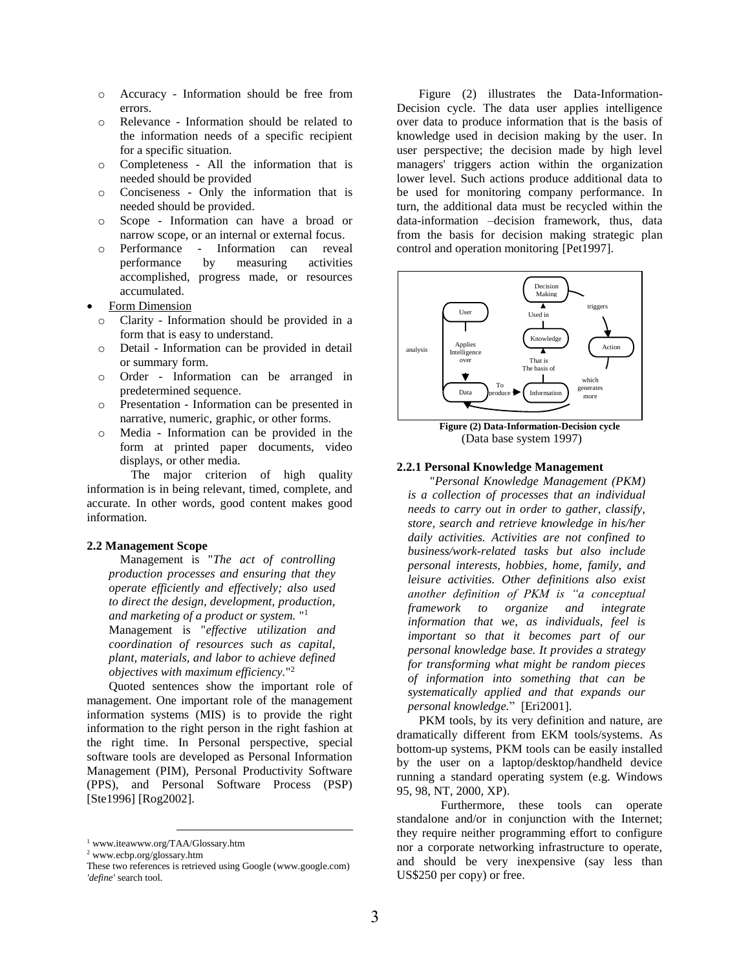- o Accuracy Information should be free from errors.
- o Relevance Information should be related to the information needs of a specific recipient for a specific situation.
- o Completeness All the information that is needed should be provided
- o Conciseness Only the information that is needed should be provided.
- o Scope Information can have a broad or narrow scope, or an internal or external focus.
- o Performance Information can reveal performance by measuring activities accomplished, progress made, or resources accumulated.
- Form Dimension
	- o Clarity Information should be provided in a form that is easy to understand.
	- o Detail Information can be provided in detail or summary form.
	- o Order Information can be arranged in predetermined sequence.
	- o Presentation Information can be presented in narrative, numeric, graphic, or other forms.
	- o Media Information can be provided in the form at printed paper documents, video displays, or other media.

The major criterion of high quality information is in being relevant, timed, complete, and accurate. In other words, good content makes good information.

#### **2.2 Management Scope**

Management is "*The act of controlling production processes and ensuring that they operate efficiently and effectively; also used to direct the design, development, production, and marketing of a product or system.* " 1 Management is "*effective utilization and coordination of resources such as capital, plant, materials, and labor to achieve defined objectives with maximum efficiency.*" 2

Quoted sentences show the important role of management. One important role of the management information systems (MIS) is to provide the right information to the right person in the right fashion at the right time. In Personal perspective, special software tools are developed as Personal Information Management (PIM), Personal Productivity Software (PPS), and Personal Software Process (PSP) [Ste1996] [Rog2002].

l

Figure (2) illustrates the Data-Information-Decision cycle. The data user applies intelligence over data to produce information that is the basis of knowledge used in decision making by the user. In user perspective; the decision made by high level managers' triggers action within the organization lower level. Such actions produce additional data to be used for monitoring company performance. In turn, the additional data must be recycled within the data-information –decision framework, thus, data from the basis for decision making strategic plan control and operation monitoring [Pet1997].



(Data base system 1997)

#### **2.2.1 Personal Knowledge Management**

"*Personal Knowledge Management (PKM) is a collection of processes that an individual needs to carry out in order to gather, classify, store, search and retrieve knowledge in his/her daily activities. Activities are not confined to business/work-related tasks but also include personal interests, hobbies, home, family, and leisure activities. Other definitions also exist another definition of PKM is "a conceptual framework to organize and integrate information that we, as individuals, feel is important so that it becomes part of our personal knowledge base. It provides a strategy for transforming what might be random pieces of information into something that can be systematically applied and that expands our personal knowledge.*" [Eri2001].

PKM tools, by its very definition and nature, are dramatically different from EKM tools/systems. As bottom-up systems, PKM tools can be easily installed by the user on a laptop/desktop/handheld device running a standard operating system (e.g. Windows 95, 98, NT, 2000, XP).

Furthermore, these tools can operate standalone and/or in conjunction with the Internet; they require neither programming effort to configure nor a corporate networking infrastructure to operate, and should be very inexpensive (say less than US\$250 per copy) or free.

<sup>1</sup> www.iteawww.org/TAA/Glossary.htm

<sup>2</sup> www.ecbp.org/glossary.htm

These two references is retrieved using Google (www.google.com) *'define'* search tool.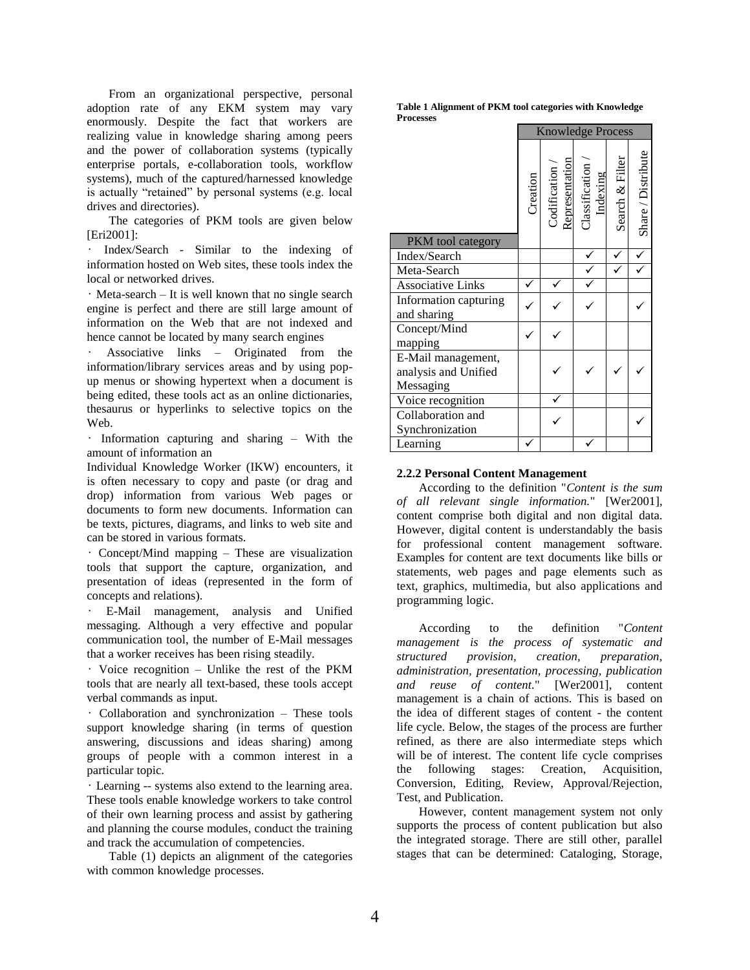From an organizational perspective, personal adoption rate of any EKM system may vary enormously. Despite the fact that workers are realizing value in knowledge sharing among peers and the power of collaboration systems (typically enterprise portals, e-collaboration tools, workflow systems), much of the captured/harnessed knowledge is actually "retained" by personal systems (e.g. local drives and directories).

The categories of PKM tools are given below [Eri2001]:

• Index/Search - Similar to the indexing of information hosted on Web sites, these tools index the local or networked drives.

• Meta-search – It is well known that no single search engine is perfect and there are still large amount of information on the Web that are not indexed and hence cannot be located by many search engines

• Associative links – Originated from the information/library services areas and by using popup menus or showing hypertext when a document is being edited, these tools act as an online dictionaries, thesaurus or hyperlinks to selective topics on the Web.

• Information capturing and sharing – With the amount of information an

Individual Knowledge Worker (IKW) encounters, it is often necessary to copy and paste (or drag and drop) information from various Web pages or documents to form new documents. Information can be texts, pictures, diagrams, and links to web site and can be stored in various formats.

• Concept/Mind mapping – These are visualization tools that support the capture, organization, and presentation of ideas (represented in the form of concepts and relations).

• E-Mail management, analysis and Unified messaging. Although a very effective and popular communication tool, the number of E-Mail messages that a worker receives has been rising steadily.

• Voice recognition – Unlike the rest of the PKM tools that are nearly all text-based, these tools accept verbal commands as input.

• Collaboration and synchronization – These tools support knowledge sharing (in terms of question answering, discussions and ideas sharing) among groups of people with a common interest in a particular topic.

• Learning -- systems also extend to the learning area. These tools enable knowledge workers to take control of their own learning process and assist by gathering and planning the course modules, conduct the training and track the accumulation of competencies.

Table (1) depicts an alignment of the categories with common knowledge processes.

**Table 1 Alignment of PKM tool categories with Knowledge Processes**

|                                                         | <b>Knowledge Process</b> |  |                                                                                                                                               |                 |                    |
|---------------------------------------------------------|--------------------------|--|-----------------------------------------------------------------------------------------------------------------------------------------------|-----------------|--------------------|
| PKM tool category                                       | Creation                 |  | $\begin{array}{ll} \text{Colification}\ /\ \text{Representation} \\ \text{Classification}\ \text{Classification}\ /\ \text{In\,} \end{array}$ | Search & Filter | Share / Distribute |
| Index/Search                                            |                          |  |                                                                                                                                               |                 |                    |
| Meta-Search                                             |                          |  |                                                                                                                                               |                 |                    |
| <b>Associative Links</b>                                |                          |  |                                                                                                                                               |                 |                    |
| Information capturing<br>and sharing                    |                          |  |                                                                                                                                               |                 |                    |
| Concept/Mind<br>mapping                                 |                          |  |                                                                                                                                               |                 |                    |
| E-Mail management,<br>analysis and Unified<br>Messaging |                          |  |                                                                                                                                               |                 |                    |
| Voice recognition                                       |                          |  |                                                                                                                                               |                 |                    |
| Collaboration and<br>Synchronization                    |                          |  |                                                                                                                                               |                 |                    |
| Learning                                                |                          |  |                                                                                                                                               |                 |                    |

## **2.2.2 Personal Content Management**

According to the definition "*Content is the sum of all relevant single information.*" [Wer2001], content comprise both digital and non digital data. However, digital content is understandably the basis for professional content management software. Examples for content are text documents like bills or statements, web pages and page elements such as text, graphics, multimedia, but also applications and programming logic.

According to the definition "*Content management is the process of systematic and structured provision, creation, preparation, administration, presentation, processing, publication and reuse of content.*" [Wer2001], content management is a chain of actions. This is based on the idea of different stages of content - the content life cycle. Below, the stages of the process are further refined, as there are also intermediate steps which will be of interest. The content life cycle comprises the following stages: Creation, Acquisition, Conversion, Editing, Review, Approval/Rejection, Test, and Publication.

However, content management system not only supports the process of content publication but also the integrated storage. There are still other, parallel stages that can be determined: Cataloging, Storage,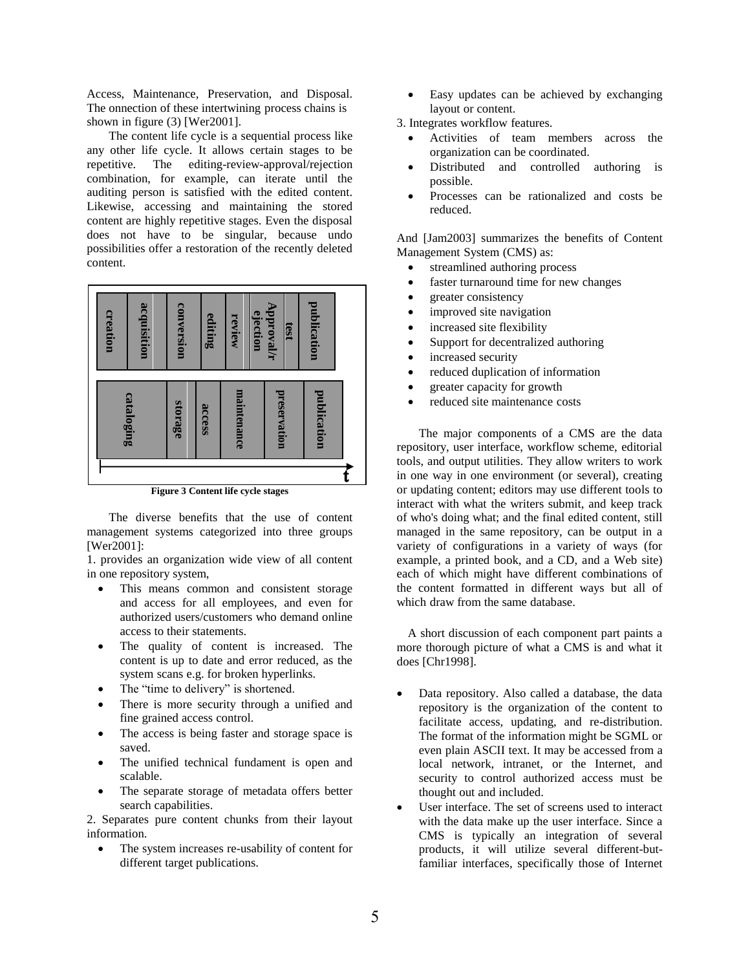Access, Maintenance, Preservation, and Disposal. The onnection of these intertwining process chains is shown in figure (3) [Wer2001].

The content life cycle is a sequential process like any other life cycle. It allows certain stages to be repetitive. The editing-review-approval/rejection combination, for example, can iterate until the auditing person is satisfied with the edited content. Likewise, accessing and maintaining the stored content are highly repetitive stages. Even the disposal does not have to be singular, because undo possibilities offer a restoration of the recently deleted content.



**Figure 3 Content life cycle stages**

The diverse benefits that the use of content management systems categorized into three groups [Wer2001]:

1. provides an organization wide view of all content in one repository system,

- This means common and consistent storage and access for all employees, and even for authorized users/customers who demand online access to their statements.
- The quality of content is increased. The content is up to date and error reduced, as the system scans e.g. for broken hyperlinks.
- The "time to delivery" is shortened.
- There is more security through a unified and fine grained access control.
- The access is being faster and storage space is saved.
- The unified technical fundament is open and scalable.
- The separate storage of metadata offers better search capabilities.

2. Separates pure content chunks from their layout information.

 The system increases re-usability of content for different target publications.

 Easy updates can be achieved by exchanging layout or content.

3. Integrates workflow features.

- Activities of team members across the organization can be coordinated.
- Distributed and controlled authoring is possible.
- Processes can be rationalized and costs be reduced.

And [Jam2003] summarizes the benefits of Content Management System (CMS) as:

- streamlined authoring process
- faster turnaround time for new changes
- greater consistency
- improved site navigation
- increased site flexibility
- Support for decentralized authoring
- increased security
- reduced duplication of information
- greater capacity for growth
- reduced site maintenance costs

The major components of a CMS are the data repository, user interface, workflow scheme, editorial tools, and output utilities. They allow writers to work in one way in one environment (or several), creating or updating content; editors may use different tools to interact with what the writers submit, and keep track of who's doing what; and the final edited content, still managed in the same repository, can be output in a variety of configurations in a variety of ways (for example, a printed book, and a CD, and a Web site) each of which might have different combinations of the content formatted in different ways but all of which draw from the same database.

A short discussion of each component part paints a more thorough picture of what a CMS is and what it does [Chr1998].

- Data repository. Also called a database, the data repository is the organization of the content to facilitate access, updating, and re-distribution. The format of the information might be SGML or even plain ASCII text. It may be accessed from a local network, intranet, or the Internet, and security to control authorized access must be thought out and included.
- User interface. The set of screens used to interact with the data make up the user interface. Since a CMS is typically an integration of several products, it will utilize several different-butfamiliar interfaces, specifically those of Internet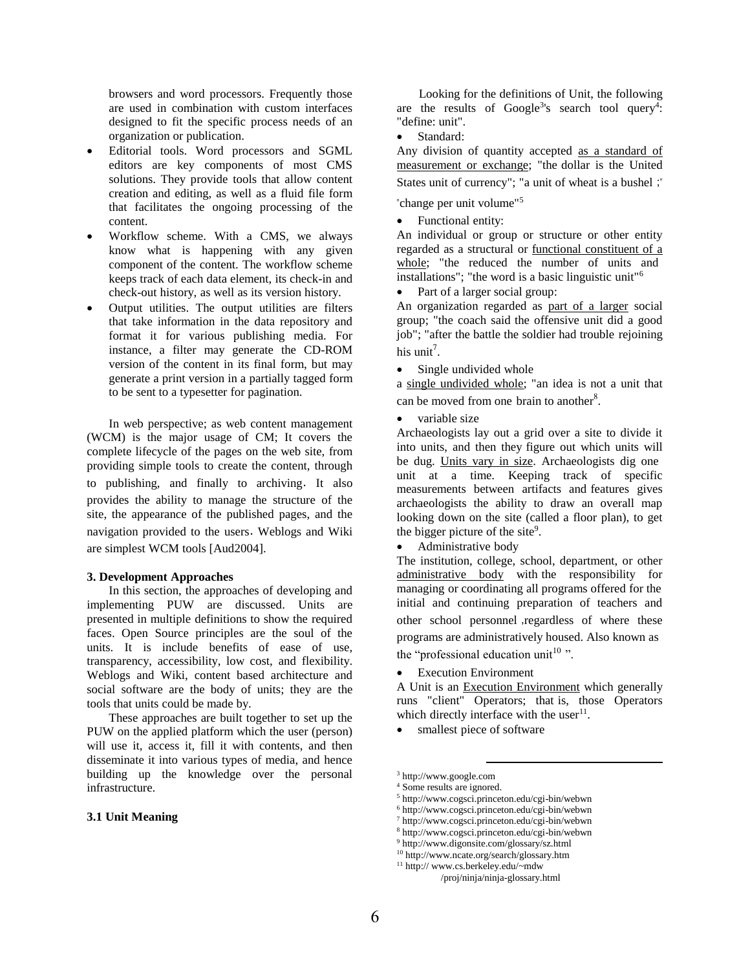browsers and word processors. Frequently those are used in combination with custom interfaces designed to fit the specific process needs of an organization or publication.

- Editorial tools. Word processors and SGML editors are key components of most CMS solutions. They provide tools that allow content creation and editing, as well as a fluid file form that facilitates the ongoing processing of the content.
- Workflow scheme. With a CMS, we always know what is happening with any given component of the content. The workflow scheme keeps track of each data element, its check-in and check-out history, as well as its version history.
- Output utilities. The output utilities are filters that take information in the data repository and format it for various publishing media. For instance, a filter may generate the CD-ROM version of the content in its final form, but may generate a print version in a partially tagged form to be sent to a typesetter for pagination.

In web perspective; as web content management (WCM) is the major usage of CM; It covers the complete lifecycle of the pages on the web site, from providing simple tools to create the content, through to publishing, and finally to archiving. It also provides the ability to manage the structure of the site, the appearance of the published pages, and the navigation provided to the users. Weblogs and Wiki are simplest WCM tools [Aud2004].

#### **3. Development Approaches**

In this section, the approaches of developing and implementing PUW are discussed. Units are presented in multiple definitions to show the required faces. Open Source principles are the soul of the units. It is include benefits of ease of use, transparency, accessibility, low cost, and flexibility. Weblogs and Wiki, content based architecture and social software are the body of units; they are the tools that units could be made by.

These approaches are built together to set up the PUW on the applied platform which the user (person) will use it, access it, fill it with contents, and then disseminate it into various types of media, and hence building up the knowledge over the personal infrastructure.

#### **3.1 Unit Meaning**

Looking for the definitions of Unit, the following are the results of Google<sup>3</sup>'s search tool query<sup>4</sup>: "define: unit".

Standard:

Any division of quantity accepted as a standard of measurement or exchange; "the dollar is the United States unit of currency"; "a unit of wheat is a bushel ;"

"change per unit volume"<sup>5</sup>

• Functional entity:

An individual or group or structure or other entity regarded as a structural or functional constituent of a whole; "the reduced the number of units and installations"; "the word is a basic linguistic unit"<sup>6</sup>

• Part of a larger social group:

An organization regarded as part of a larger social group; "the coach said the offensive unit did a good job"; "after the battle the soldier had trouble rejoining his unit<sup>7</sup>.

• Single undivided whole

a single undivided whole; "an idea is not a unit that can be moved from one brain to another<sup>8</sup>.

variable size

Archaeologists lay out a grid over a site to divide it into units, and then they figure out which units will be dug. Units vary in size. Archaeologists dig one unit at a time. Keeping track of specific measurements between artifacts and features gives archaeologists the ability to draw an overall map looking down on the site (called a floor plan), to get the bigger picture of the site<sup>9</sup>.

Administrative body

The institution, college, school, department, or other administrative body with the responsibility for managing or coordinating all programs offered for the initial and continuing preparation of teachers and other school personnel ,regardless of where these programs are administratively housed. Also known as the "professional education unit $10$ ".

Execution Environment

A Unit is an Execution Environment which generally runs "client" Operators; that is, those Operators which directly interface with the user $^{11}$ .

• smallest piece of software

l

<sup>3</sup> http://www.google.com

<sup>4</sup> Some results are ignored.

<sup>5</sup> http://www.cogsci.princeton.edu/cgi-bin/webwn

<sup>6</sup> http://www.cogsci.princeton.edu/cgi-bin/webwn

<sup>7</sup> http://www.cogsci.princeton.edu/cgi-bin/webwn

<sup>8</sup> http://www.cogsci.princeton.edu/cgi-bin/webwn <sup>9</sup> http://www.digonsite.com/glossary/sz.html

<sup>10</sup> http://www.ncate.org/search/glossary.htm

<sup>11</sup> http:// www.cs.berkeley.edu/~mdw /proj/ninja/ninja-glossary.html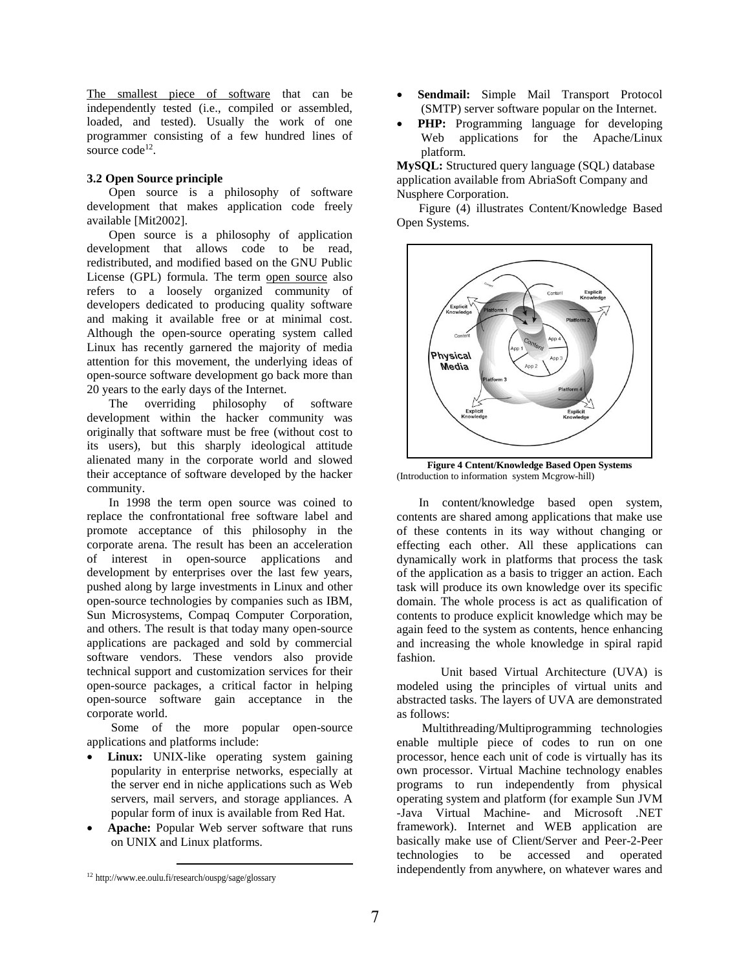The smallest piece of software that can be independently tested (i.e., compiled or assembled, loaded, and tested). Usually the work of one programmer consisting of a few hundred lines of source code<sup>12</sup>.

## **3.2 Open Source principle**

Open source is a philosophy of software development that makes application code freely available [Mit2002].

Open source is a philosophy of application development that allows code to be read, redistributed, and modified based on the GNU Public License (GPL) formula. The term open source also refers to a loosely organized community of developers dedicated to producing quality software and making it available free or at minimal cost. Although the open-source operating system called Linux has recently garnered the majority of media attention for this movement, the underlying ideas of open-source software development go back more than 20 years to the early days of the Internet.

The overriding philosophy of software development within the hacker community was originally that software must be free (without cost to its users), but this sharply ideological attitude alienated many in the corporate world and slowed their acceptance of software developed by the hacker community.

In 1998 the term open source was coined to replace the confrontational free software label and promote acceptance of this philosophy in the corporate arena. The result has been an acceleration of interest in open-source applications and development by enterprises over the last few years, pushed along by large investments in Linux and other open-source technologies by companies such as IBM, Sun Microsystems, Compaq Computer Corporation, and others. The result is that today many open-source applications are packaged and sold by commercial software vendors. These vendors also provide technical support and customization services for their open-source packages, a critical factor in helping open-source software gain acceptance in the corporate world.

Some of the more popular open-source applications and platforms include:

- **Linux:** UNIX-like operating system gaining popularity in enterprise networks, especially at the server end in niche applications such as Web servers, mail servers, and storage appliances. A popular form of inux is available from Red Hat.
- **Apache:** Popular Web server software that runs on UNIX and Linux platforms.
- **Sendmail:** Simple Mail Transport Protocol (SMTP) server software popular on the Internet.
- PHP: Programming language for developing Web applications for the Apache/Linux platform.

**MySQL:** Structured query language (SQL) database application available from AbriaSoft Company and Nusphere Corporation.

Figure (4) illustrates Content/Knowledge Based Open Systems.



**Figure 4 Cntent/Knowledge Based Open Systems** (Introduction to information system Mcgrow-hill)

In content/knowledge based open system, contents are shared among applications that make use of these contents in its way without changing or effecting each other. All these applications can dynamically work in platforms that process the task of the application as a basis to trigger an action. Each task will produce its own knowledge over its specific domain. The whole process is act as qualification of contents to produce explicit knowledge which may be again feed to the system as contents, hence enhancing and increasing the whole knowledge in spiral rapid fashion.

Unit based Virtual Architecture (UVA) is modeled using the principles of virtual units and abstracted tasks. The layers of UVA are demonstrated as follows:

Multithreading/Multiprogramming technologies enable multiple piece of codes to run on one processor, hence each unit of code is virtually has its own processor. Virtual Machine technology enables programs to run independently from physical operating system and platform (for example Sun JVM -Java Virtual Machine- and Microsoft .NET framework). Internet and WEB application are basically make use of Client/Server and Peer-2-Peer technologies to be accessed and operated independently from anywhere, on whatever wares and

 $\overline{a}$ <sup>12</sup> http://www.ee.oulu.fi/research/ouspg/sage/glossary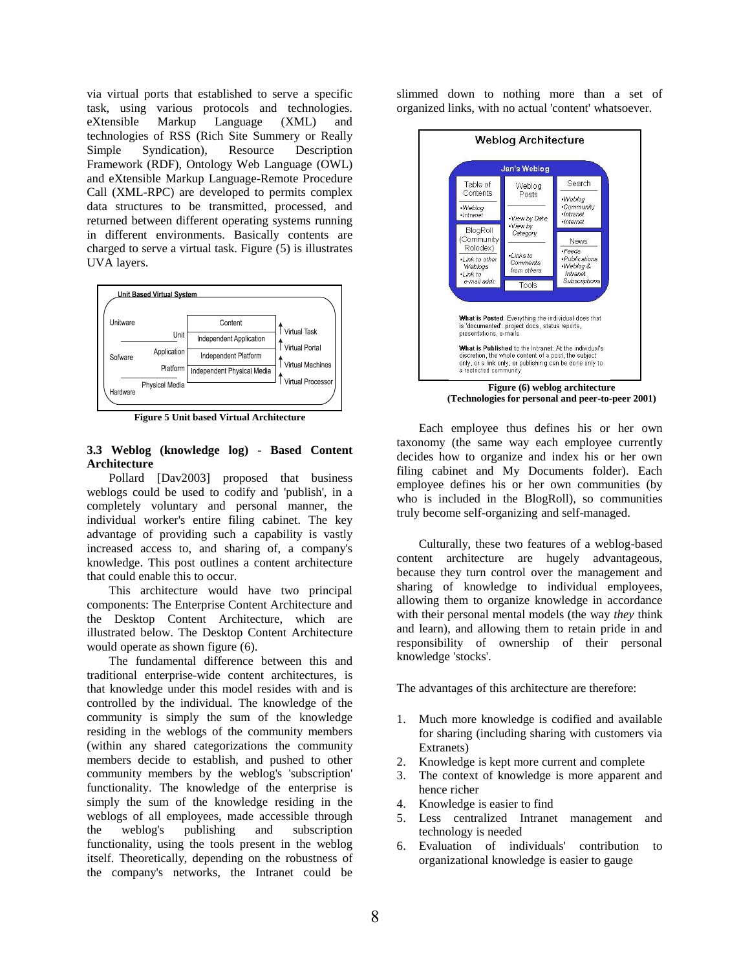via virtual ports that established to serve a specific task, using various protocols and technologies. eXtensible Markup Language (XML) and technologies of RSS (Rich Site Summery or Really Simple Syndication), Resource Description Framework (RDF), Ontology Web Language (OWL) and eXtensible Markup Language-Remote Procedure Call (XML-RPC) are developed to permits complex data structures to be transmitted, processed, and returned between different operating systems running in different environments. Basically contents are charged to serve a virtual task. Figure (5) is illustrates UVA layers.



**Figure 5 Unit based Virtual Architecture**

## **3.3 Weblog (knowledge log) - Based Content Architecture**

Pollard [Dav2003] proposed that business weblogs could be used to codify and 'publish', in a completely voluntary and personal manner, the individual worker's entire filing cabinet. The key advantage of providing such a capability is vastly increased access to, and sharing of, a company's knowledge. This post outlines a content architecture that could enable this to occur.

This architecture would have two principal components: The Enterprise Content Architecture and the Desktop Content Architecture, which are illustrated below. The Desktop Content Architecture would operate as shown figure (6).

The fundamental difference between this and traditional enterprise-wide content architectures, is that knowledge under this model resides with and is controlled by the individual*.* The knowledge of the community is simply the sum of the knowledge residing in the weblogs of the community members (within any shared categorizations the community members decide to establish, and pushed to other community members by the weblog's 'subscription' functionality. The knowledge of the enterprise is simply the sum of the knowledge residing in the weblogs of all employees, made accessible through the weblog's publishing and subscription functionality, using the tools present in the weblog itself. Theoretically, depending on the robustness of the company's networks, the Intranet could be

slimmed down to nothing more than a set of organized links, with no actual 'content' whatsoever.



Each employee thus defines his or her own taxonomy (the same way each employee currently decides how to organize and index his or her own filing cabinet and My Documents folder). Each employee defines his or her own communities (by who is included in the BlogRoll), so communities truly become self-organizing and self-managed.

Culturally, these two features of a weblog-based content architecture are hugely advantageous, because they turn control over the management and sharing of knowledge to individual employees, allowing them to organize knowledge in accordance with their personal mental models (the way *they* think and learn), and allowing them to retain pride in and responsibility of ownership of their personal knowledge 'stocks'.

The advantages of this architecture are therefore:

- 1. Much more knowledge is codified and available for sharing (including sharing with customers via Extranets)
- 2. Knowledge is kept more current and complete
- 3. The context of knowledge is more apparent and hence richer
- 4. Knowledge is easier to find
- 5. Less centralized Intranet management and technology is needed
- 6. Evaluation of individuals' contribution to organizational knowledge is easier to gauge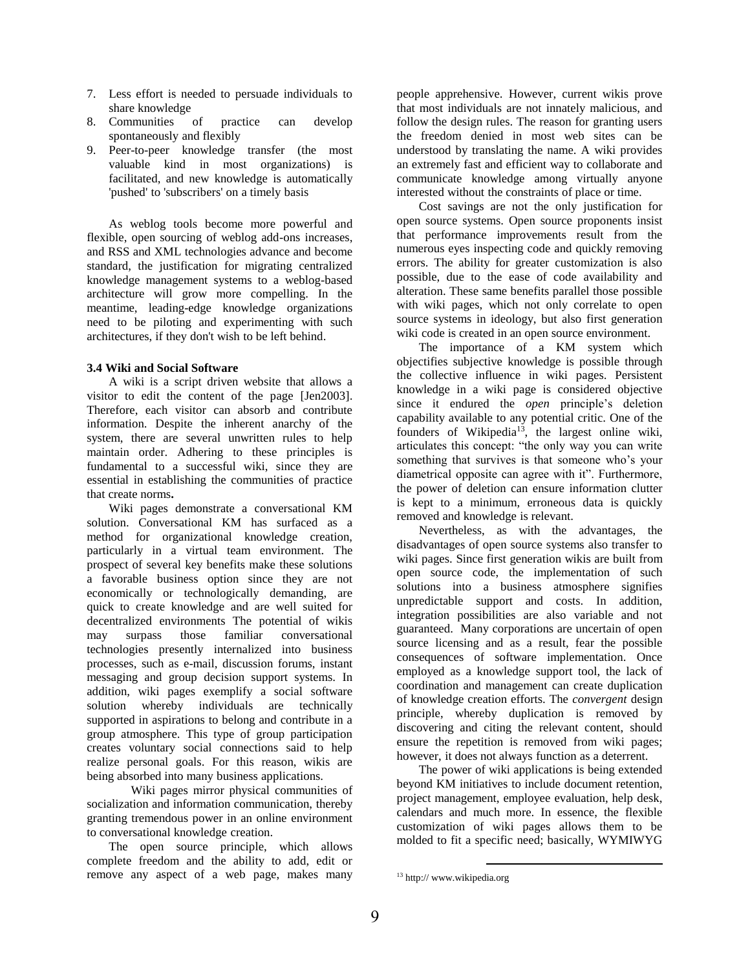- 7. Less effort is needed to persuade individuals to share knowledge
- 8. Communities of practice can develop spontaneously and flexibly
- 9. Peer-to-peer knowledge transfer (the most valuable kind in most organizations) is facilitated, and new knowledge is automatically 'pushed' to 'subscribers' on a timely basis

As weblog tools become more powerful and flexible, open sourcing of weblog add-ons increases, and RSS and XML technologies advance and become standard, the justification for migrating centralized knowledge management systems to a weblog-based architecture will grow more compelling. In the meantime, leading-edge knowledge organizations need to be piloting and experimenting with such architectures, if they don't wish to be left behind.

## **3.4 Wiki and Social Software**

A wiki is a script driven website that allows a visitor to edit the content of the page [Jen2003]. Therefore, each visitor can absorb and contribute information. Despite the inherent anarchy of the system, there are several unwritten rules to help maintain order. Adhering to these principles is fundamental to a successful wiki, since they are essential in establishing the communities of practice that create norms**.**

Wiki pages demonstrate a conversational KM solution. Conversational KM has surfaced as a method for organizational knowledge creation, particularly in a virtual team environment. The prospect of several key benefits make these solutions a favorable business option since they are not economically or technologically demanding, are quick to create knowledge and are well suited for decentralized environments The potential of wikis may surpass those familiar conversational technologies presently internalized into business processes, such as e-mail, discussion forums, instant messaging and group decision support systems. In addition, wiki pages exemplify a social software solution whereby individuals are technically supported in aspirations to belong and contribute in a group atmosphere. This type of group participation creates voluntary social connections said to help realize personal goals. For this reason, wikis are being absorbed into many business applications.

Wiki pages mirror physical communities of socialization and information communication, thereby granting tremendous power in an online environment to conversational knowledge creation.

The open source principle, which allows complete freedom and the ability to add, edit or remove any aspect of a web page, makes many people apprehensive. However, current wikis prove that most individuals are not innately malicious, and follow the design rules. The reason for granting users the freedom denied in most web sites can be understood by translating the name. A wiki provides an extremely fast and efficient way to collaborate and communicate knowledge among virtually anyone interested without the constraints of place or time.

Cost savings are not the only justification for open source systems. Open source proponents insist that performance improvements result from the numerous eyes inspecting code and quickly removing errors. The ability for greater customization is also possible, due to the ease of code availability and alteration. These same benefits parallel those possible with wiki pages, which not only correlate to open source systems in ideology, but also first generation wiki code is created in an open source environment.

The importance of a KM system which objectifies subjective knowledge is possible through the collective influence in wiki pages. Persistent knowledge in a wiki page is considered objective since it endured the *open* principle's deletion capability available to any potential critic. One of the founders of Wikipedia<sup>13</sup>, the largest online wiki, articulates this concept: "the only way you can write something that survives is that someone who's your diametrical opposite can agree with it". Furthermore, the power of deletion can ensure information clutter is kept to a minimum, erroneous data is quickly removed and knowledge is relevant.

Nevertheless, as with the advantages, the disadvantages of open source systems also transfer to wiki pages. Since first generation wikis are built from open source code, the implementation of such solutions into a business atmosphere signifies unpredictable support and costs. In addition, integration possibilities are also variable and not guaranteed. Many corporations are uncertain of open source licensing and as a result, fear the possible consequences of software implementation. Once employed as a knowledge support tool, the lack of coordination and management can create duplication of knowledge creation efforts. The *convergent* design principle, whereby duplication is removed by discovering and citing the relevant content, should ensure the repetition is removed from wiki pages; however, it does not always function as a deterrent.

The power of wiki applications is being extended beyond KM initiatives to include document retention, project management, employee evaluation, help desk, calendars and much more. In essence, the flexible customization of wiki pages allows them to be molded to fit a specific need; basically, WYMIWYG

 $\overline{a}$ 

<sup>&</sup>lt;sup>13</sup> http:// www.wikipedia.org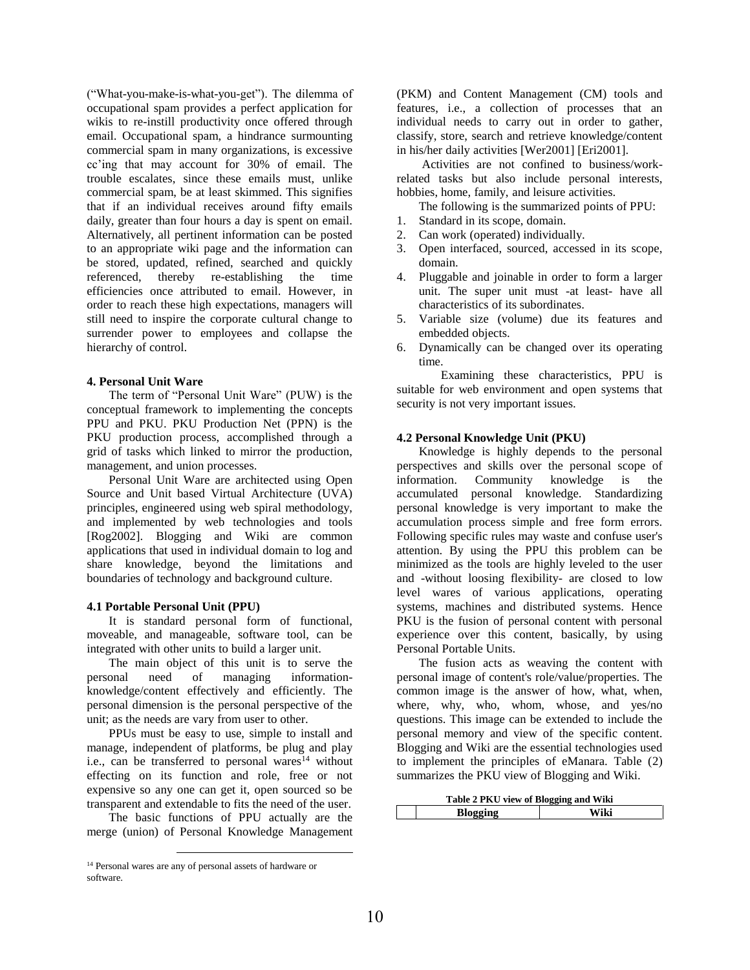("What-you-make-is-what-you-get"). The dilemma of occupational spam provides a perfect application for wikis to re-instill productivity once offered through email. Occupational spam, a hindrance surmounting commercial spam in many organizations, is excessive cc'ing that may account for 30% of email. The trouble escalates, since these emails must, unlike commercial spam, be at least skimmed. This signifies that if an individual receives around fifty emails daily, greater than four hours a day is spent on email. Alternatively, all pertinent information can be posted to an appropriate wiki page and the information can be stored, updated, refined, searched and quickly referenced, thereby re-establishing the time efficiencies once attributed to email. However, in order to reach these high expectations, managers will still need to inspire the corporate cultural change to surrender power to employees and collapse the hierarchy of control.

## **4. Personal Unit Ware**

The term of "Personal Unit Ware" (PUW) is the conceptual framework to implementing the concepts PPU and PKU. PKU Production Net (PPN) is the PKU production process, accomplished through a grid of tasks which linked to mirror the production, management, and union processes.

Personal Unit Ware are architected using Open Source and Unit based Virtual Architecture (UVA) principles, engineered using web spiral methodology, and implemented by web technologies and tools [Rog2002]. Blogging and Wiki are common applications that used in individual domain to log and share knowledge, beyond the limitations and boundaries of technology and background culture.

#### **4.1 Portable Personal Unit (PPU)**

It is standard personal form of functional, moveable, and manageable, software tool, can be integrated with other units to build a larger unit.

The main object of this unit is to serve the personal need of managing informationknowledge/content effectively and efficiently. The personal dimension is the personal perspective of the unit; as the needs are vary from user to other.

PPUs must be easy to use, simple to install and manage, independent of platforms, be plug and play i.e., can be transferred to personal wares<sup>14</sup> without effecting on its function and role, free or not expensive so any one can get it, open sourced so be transparent and extendable to fits the need of the user.

The basic functions of PPU actually are the merge (union) of Personal Knowledge Management

 $\overline{a}$ 

(PKM) and Content Management (CM) tools and features, i.e., a collection of processes that an individual needs to carry out in order to gather, classify, store, search and retrieve knowledge/content in his/her daily activities [Wer2001] [Eri2001].

Activities are not confined to business/workrelated tasks but also include personal interests, hobbies, home, family, and leisure activities.

The following is the summarized points of PPU: 1. Standard in its scope, domain.

- 2. Can work (operated) individually.
- 3. Open interfaced, sourced, accessed in its scope, domain.
- 4. Pluggable and joinable in order to form a larger unit. The super unit must -at least- have all characteristics of its subordinates.
- 5. Variable size (volume) due its features and embedded objects.
- 6. Dynamically can be changed over its operating time.

Examining these characteristics, PPU is suitable for web environment and open systems that security is not very important issues.

#### **4.2 Personal Knowledge Unit (PKU)**

Knowledge is highly depends to the personal perspectives and skills over the personal scope of information. Community knowledge is the accumulated personal knowledge. Standardizing personal knowledge is very important to make the accumulation process simple and free form errors. Following specific rules may waste and confuse user's attention. By using the PPU this problem can be minimized as the tools are highly leveled to the user and -without loosing flexibility- are closed to low level wares of various applications, operating systems, machines and distributed systems. Hence PKU is the fusion of personal content with personal experience over this content, basically, by using Personal Portable Units.

The fusion acts as weaving the content with personal image of content's role/value/properties. The common image is the answer of how, what, when, where, why, who, whom, whose, and yes/no questions. This image can be extended to include the personal memory and view of the specific content. Blogging and Wiki are the essential technologies used to implement the principles of eManara. Table (2) summarizes the PKU view of Blogging and Wiki.

| Table 2 PKU view of Blogging and Wiki |      |  |
|---------------------------------------|------|--|
| Blogging                              | Wiki |  |

<sup>14</sup> Personal wares are any of personal assets of hardware or software.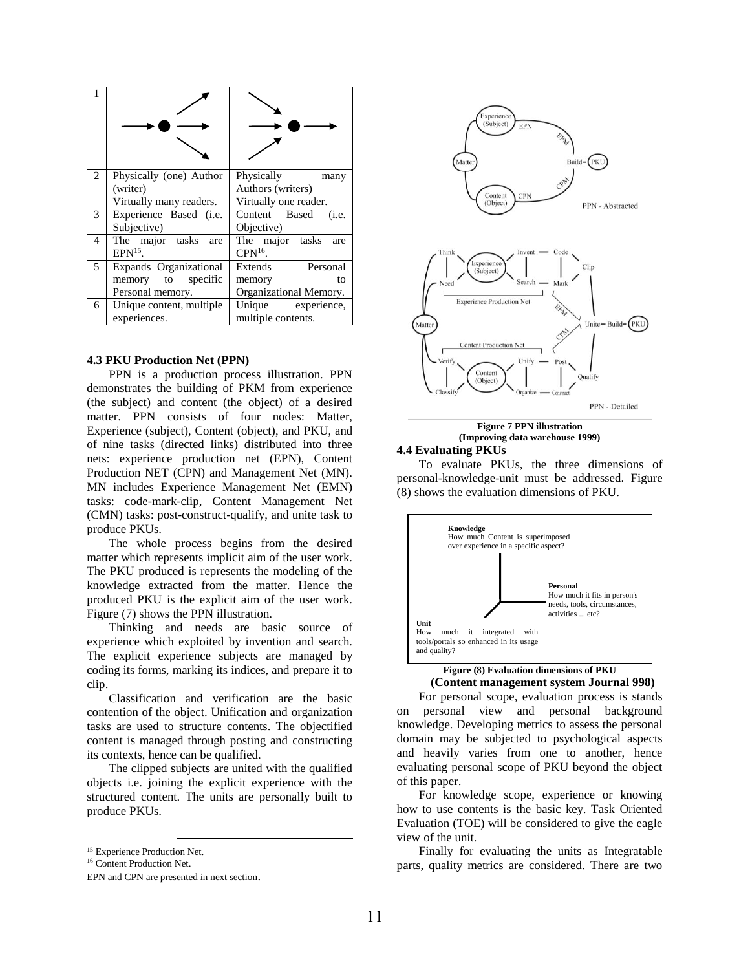| 2 | Physically (one) Author  | Physically<br>many     |  |
|---|--------------------------|------------------------|--|
|   | (writer)                 | Authors (writers)      |  |
|   | Virtually many readers.  | Virtually one reader.  |  |
| 3 | Experience Based (i.e.   | Content Based<br>(i.e. |  |
|   | Subjective)              | Objective)             |  |
| 4 | The major tasks<br>are   | The major tasks<br>are |  |
|   | $EPN15$ .                | $CPN^{16}$ .           |  |
| 5 | Expands Organizational   | Extends Personal       |  |
|   | memory to specific       | memory<br>to           |  |
|   | Personal memory.         | Organizational Memory. |  |
| 6 | Unique content, multiple | Unique experience,     |  |
|   | experiences.             | multiple contents.     |  |

#### **4.3 PKU Production Net (PPN)**

PPN is a production process illustration. PPN demonstrates the building of PKM from experience (the subject) and content (the object) of a desired matter. PPN consists of four nodes: Matter, Experience (subject), Content (object), and PKU, and of nine tasks (directed links) distributed into three nets: experience production net (EPN), Content Production NET (CPN) and Management Net (MN). MN includes Experience Management Net (EMN) tasks: code-mark-clip, Content Management Net (CMN) tasks: post-construct-qualify, and unite task to produce PKUs.

The whole process begins from the desired matter which represents implicit aim of the user work. The PKU produced is represents the modeling of the knowledge extracted from the matter. Hence the produced PKU is the explicit aim of the user work. Figure (7) shows the PPN illustration.

Thinking and needs are basic source of experience which exploited by invention and search. The explicit experience subjects are managed by coding its forms, marking its indices, and prepare it to clip.

Classification and verification are the basic contention of the object. Unification and organization tasks are used to structure contents. The objectified content is managed through posting and constructing its contexts, hence can be qualified.

The clipped subjects are united with the qualified objects i.e. joining the explicit experience with the structured content. The units are personally built to produce PKUs.

 $\overline{a}$ 



## **Figure 7 PPN illustration (Improving data warehouse 1999)**

## **4.4 Evaluating PKUs**

To evaluate PKUs, the three dimensions of personal-knowledge-unit must be addressed. Figure (8) shows the evaluation dimensions of PKU.



## **Figure (8) Evaluation dimensions of PKU**

#### **(Content management system Journal 998)**

For personal scope, evaluation process is stands on personal view and personal background knowledge. Developing metrics to assess the personal domain may be subjected to psychological aspects and heavily varies from one to another, hence evaluating personal scope of PKU beyond the object of this paper.

For knowledge scope, experience or knowing how to use contents is the basic key. Task Oriented Evaluation (TOE) will be considered to give the eagle view of the unit.

Finally for evaluating the units as Integratable parts, quality metrics are considered. There are two

<sup>&</sup>lt;sup>15</sup> Experience Production Net.

<sup>&</sup>lt;sup>16</sup> Content Production Net.

EPN and CPN are presented in next section.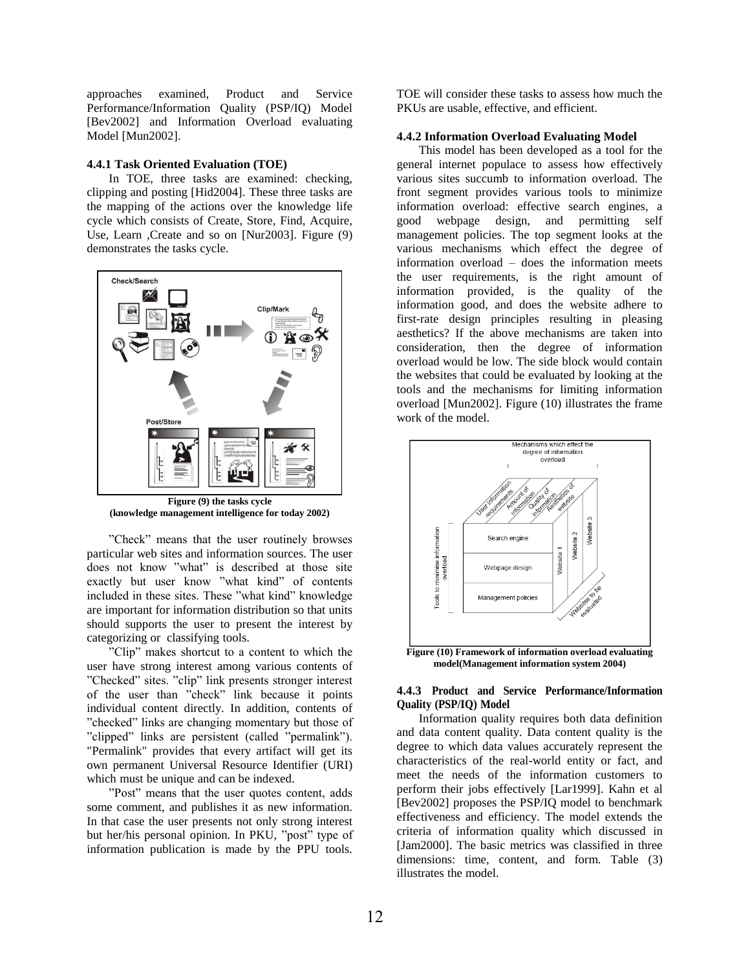approaches examined, Product and Service Performance/Information Quality (PSP/IQ) Model [Bev2002] and Information Overload evaluating Model [Mun2002].

#### **4.4.1 Task Oriented Evaluation (TOE)**

In TOE, three tasks are examined: checking, clipping and posting [Hid2004]. These three tasks are the mapping of the actions over the knowledge life cycle which consists of Create, Store, Find, Acquire, Use, Learn ,Create and so on [Nur2003]. Figure (9) demonstrates the tasks cycle.



**(knowledge management intelligence for today 2002)**

"Check" means that the user routinely browses particular web sites and information sources. The user does not know "what" is described at those site exactly but user know "what kind" of contents included in these sites. These "what kind" knowledge are important for information distribution so that units should supports the user to present the interest by categorizing or classifying tools.

"Clip" makes shortcut to a content to which the user have strong interest among various contents of "Checked" sites. "clip" link presents stronger interest of the user than "check" link because it points individual content directly. In addition, contents of "checked" links are changing momentary but those of "clipped" links are persistent (called "permalink"). "Permalink" provides that every artifact will get its own permanent Universal Resource Identifier (URI) which must be unique and can be indexed.

"Post" means that the user quotes content, adds some comment, and publishes it as new information. In that case the user presents not only strong interest but her/his personal opinion. In PKU, "post" type of information publication is made by the PPU tools.

TOE will consider these tasks to assess how much the PKUs are usable, effective, and efficient.

#### **4.4.2 Information Overload Evaluating Model**

This model has been developed as a tool for the general internet populace to assess how effectively various sites succumb to information overload. The front segment provides various tools to minimize information overload: effective search engines, a good webpage design, and permitting self management policies. The top segment looks at the various mechanisms which effect the degree of information overload – does the information meets the user requirements, is the right amount of information provided, is the quality of the information good, and does the website adhere to first-rate design principles resulting in pleasing aesthetics? If the above mechanisms are taken into consideration, then the degree of information overload would be low. The side block would contain the websites that could be evaluated by looking at the tools and the mechanisms for limiting information overload [Mun2002]. Figure (10) illustrates the frame work of the model.



**model(Management information system 2004)**

## **4.4.3 Product and Service Performance/Information Quality (PSP/IQ) Model**

Information quality requires both data definition and data content quality. Data content quality is the degree to which data values accurately represent the characteristics of the real-world entity or fact, and meet the needs of the information customers to perform their jobs effectively [Lar1999]. Kahn et al [Bev2002] proposes the PSP/IQ model to benchmark effectiveness and efficiency. The model extends the criteria of information quality which discussed in [Jam2000]. The basic metrics was classified in three dimensions: time, content, and form. Table (3) illustrates the model.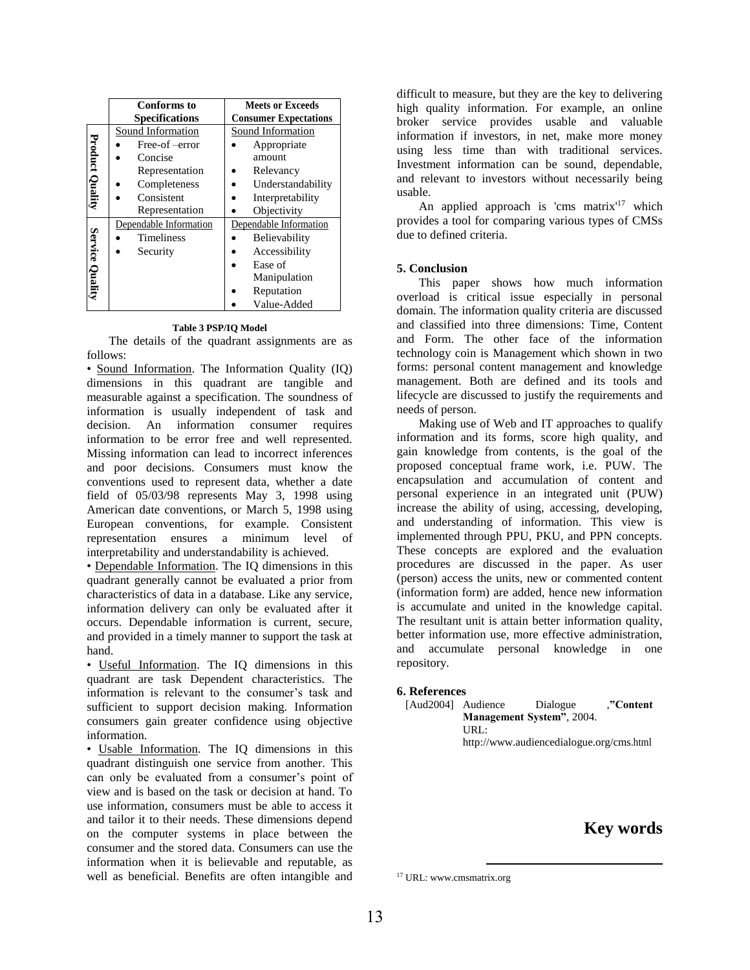|                        | <b>Conforms</b> to     | <b>Meets or Exceeds</b>      |  |
|------------------------|------------------------|------------------------------|--|
|                        | <b>Specifications</b>  | <b>Consumer Expectations</b> |  |
|                        | Sound Information      | Sound Information            |  |
|                        | Free-of-error          | Appropriate                  |  |
|                        | Concise                | amount                       |  |
|                        | Representation         | Relevancy                    |  |
|                        | Completeness           | Understandability            |  |
| <b>Product Quality</b> | Consistent             | Interpretability             |  |
|                        | Representation         | Objectivity                  |  |
|                        | Dependable Information | Dependable Information       |  |
| Service Quality        | <b>Timeliness</b>      | Believability                |  |
|                        | Security               | Accessibility                |  |
|                        |                        | Ease of                      |  |
|                        |                        | Manipulation                 |  |
|                        |                        | Reputation                   |  |
|                        |                        | Value-Added                  |  |

#### **Table 3 PSP/IQ Model**

The details of the quadrant assignments are as follows:

• Sound Information. The Information Quality (IQ) dimensions in this quadrant are tangible and measurable against a specification. The soundness of information is usually independent of task and decision. An information consumer requires information to be error free and well represented. Missing information can lead to incorrect inferences and poor decisions. Consumers must know the conventions used to represent data, whether a date field of 05/03/98 represents May 3, 1998 using American date conventions, or March 5, 1998 using European conventions, for example. Consistent representation ensures a minimum level of interpretability and understandability is achieved.

• Dependable Information. The IQ dimensions in this quadrant generally cannot be evaluated a prior from characteristics of data in a database. Like any service, information delivery can only be evaluated after it occurs. Dependable information is current, secure, and provided in a timely manner to support the task at hand.

• Useful Information. The IQ dimensions in this quadrant are task Dependent characteristics. The information is relevant to the consumer's task and sufficient to support decision making. Information consumers gain greater confidence using objective information.

• Usable Information. The IQ dimensions in this quadrant distinguish one service from another. This can only be evaluated from a consumer's point of view and is based on the task or decision at hand. To use information, consumers must be able to access it and tailor it to their needs. These dimensions depend on the computer systems in place between the consumer and the stored data. Consumers can use the information when it is believable and reputable, as well as beneficial. Benefits are often intangible and difficult to measure, but they are the key to delivering high quality information. For example, an online broker service provides usable and valuable information if investors, in net, make more money using less time than with traditional services. Investment information can be sound, dependable, and relevant to investors without necessarily being usable.

An applied approach is 'cms matrix'<sup>17</sup> which provides a tool for comparing various types of CMSs due to defined criteria.

## **5. Conclusion**

This paper shows how much information overload is critical issue especially in personal domain. The information quality criteria are discussed and classified into three dimensions: Time, Content and Form. The other face of the information technology coin is Management which shown in two forms: personal content management and knowledge management. Both are defined and its tools and lifecycle are discussed to justify the requirements and needs of person.

Making use of Web and IT approaches to qualify information and its forms, score high quality, and gain knowledge from contents, is the goal of the proposed conceptual frame work, i.e. PUW. The encapsulation and accumulation of content and personal experience in an integrated unit (PUW) increase the ability of using, accessing, developing, and understanding of information. This view is implemented through PPU, PKU, and PPN concepts. These concepts are explored and the evaluation procedures are discussed in the paper. As user (person) access the units, new or commented content (information form) are added, hence new information is accumulate and united in the knowledge capital. The resultant unit is attain better information quality, better information use, more effective administration, and accumulate personal knowledge in one repository.

## **6. References**

[Aud2004] Audience Dialogue ,**"Content Management System"**, 2004. URL: http://www.audiencedialogue.org/cms.html

# **Key words**

 $\overline{a}$ 

<sup>17</sup> URL: www.cmsmatrix.org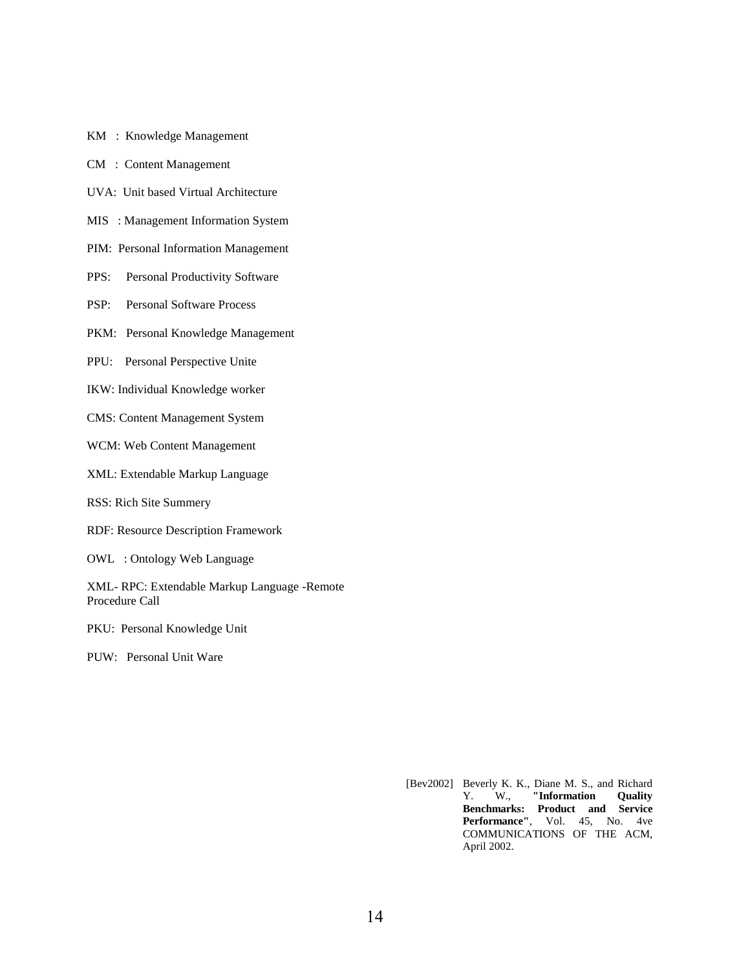- KM : Knowledge Management
- CM : Content Management
- UVA: Unit based Virtual Architecture
- MIS : Management Information System
- PIM: Personal Information Management
- PPS: Personal Productivity Software
- PSP: Personal Software Process
- PKM: Personal Knowledge Management
- PPU: Personal Perspective Unite
- IKW: Individual Knowledge worker
- CMS: Content Management System
- WCM: Web Content Management
- XML: Extendable Markup Language
- RSS: Rich Site Summery
- RDF: Resource Description Framework
- OWL : Ontology Web Language
- XML- RPC: Extendable Markup Language -Remote Procedure Call
- PKU: Personal Knowledge Unit
- PUW: Personal Unit Ware

[Bev2002] Beverly K. K., Diane M. S., and Richard<br>Y. W., "Information Quality Y. W., **"Information Quality Benchmarks: Product and Service Performance"**, Vol. 45, No. 4ve COMMUNICATIONS OF THE ACM, April 2002.